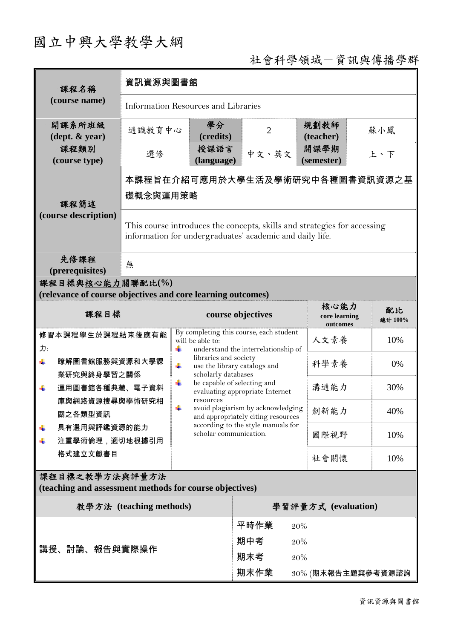## 國立中興大學教學大綱

## 社會科學領域-資訊與傳播學群

| 課程名稱                                                                                                                                                    | 資訊資源與圖書館                                                                                                                             |                                                                                                                                                                                                                                                                                                                                                                                                                                                |                    |                                   |                       |
|---------------------------------------------------------------------------------------------------------------------------------------------------------|--------------------------------------------------------------------------------------------------------------------------------------|------------------------------------------------------------------------------------------------------------------------------------------------------------------------------------------------------------------------------------------------------------------------------------------------------------------------------------------------------------------------------------------------------------------------------------------------|--------------------|-----------------------------------|-----------------------|
| (course name)                                                                                                                                           | <b>Information Resources and Libraries</b>                                                                                           |                                                                                                                                                                                                                                                                                                                                                                                                                                                |                    |                                   |                       |
| 開課系所班級<br>$(\text{dept.} \& \text{ year})$                                                                                                              | 通識教育中心                                                                                                                               | 學分<br>(credits)                                                                                                                                                                                                                                                                                                                                                                                                                                | $\overline{2}$     | 規劃教師<br>(teacher)                 | 蘇小鳳                   |
| 課程類別<br>(course type)                                                                                                                                   | 選修                                                                                                                                   | 授課語言<br>(language)                                                                                                                                                                                                                                                                                                                                                                                                                             | 中文、英文              | 開課學期<br>(semester)                | 上、下                   |
| 課程簡述<br>(course description)                                                                                                                            | 本課程旨在介紹可應用於大學生活及學術研究中各種圖書資訊資源之基<br>礎概念與運用策略                                                                                          |                                                                                                                                                                                                                                                                                                                                                                                                                                                |                    |                                   |                       |
|                                                                                                                                                         | This course introduces the concepts, skills and strategies for accessing<br>information for undergraduates' academic and daily life. |                                                                                                                                                                                                                                                                                                                                                                                                                                                |                    |                                   |                       |
| 先修課程<br>(prerequisites)                                                                                                                                 | 無                                                                                                                                    |                                                                                                                                                                                                                                                                                                                                                                                                                                                |                    |                                   |                       |
| 課程目標與核心能力關聯配比(%)<br>(relevance of course objectives and core learning outcomes)                                                                         |                                                                                                                                      |                                                                                                                                                                                                                                                                                                                                                                                                                                                |                    |                                   |                       |
| 課程目標                                                                                                                                                    |                                                                                                                                      | course objectives                                                                                                                                                                                                                                                                                                                                                                                                                              |                    | 核心能力<br>core learning<br>outcomes | 配比<br>總計 100%         |
| 修習本課程學生於課程結束後應有能<br>力:<br>瞭解圖書館服務與資源和大學課<br>₩<br>業研究與終身學習之關係<br>運用圖書館各種典藏、電子資料<br>÷<br>庫與網路資源搜尋與學術研究相<br>關之各類型資訊<br>具有選用與評鑑資源的能力<br>注重學術倫理,適切地根據引用<br>÷ |                                                                                                                                      | By completing this course, each student<br>will be able to:<br>$\ddot{}$<br>understand the interrelationship of<br>libraries and society<br>÷<br>use the library catalogs and<br>scholarly databases<br>÷<br>be capable of selecting and<br>evaluating appropriate Internet<br>resources<br>÷<br>avoid plagiarism by acknowledging  創新能力<br>and appropriately citing resources<br>according to the style manuals for<br>scholar communication. |                    | 人文素養                              | 10%                   |
|                                                                                                                                                         |                                                                                                                                      |                                                                                                                                                                                                                                                                                                                                                                                                                                                |                    | 科學素養                              | 0%                    |
|                                                                                                                                                         |                                                                                                                                      |                                                                                                                                                                                                                                                                                                                                                                                                                                                |                    | 溝通能力                              | 30%                   |
|                                                                                                                                                         |                                                                                                                                      |                                                                                                                                                                                                                                                                                                                                                                                                                                                |                    |                                   | 40%                   |
|                                                                                                                                                         |                                                                                                                                      |                                                                                                                                                                                                                                                                                                                                                                                                                                                |                    | 國際視野                              | 10%                   |
| 格式建立文獻書目                                                                                                                                                |                                                                                                                                      |                                                                                                                                                                                                                                                                                                                                                                                                                                                |                    | 社會關懷                              | 10%                   |
| 課程目標之教學方法與評量方法<br>(teaching and assessment methods for course objectives)                                                                               |                                                                                                                                      |                                                                                                                                                                                                                                                                                                                                                                                                                                                |                    |                                   |                       |
| 教學方法 (teaching methods)<br>學習評量方式 (evaluation)                                                                                                          |                                                                                                                                      |                                                                                                                                                                                                                                                                                                                                                                                                                                                |                    |                                   |                       |
| 講授、討論、報告與實際操作                                                                                                                                           |                                                                                                                                      |                                                                                                                                                                                                                                                                                                                                                                                                                                                | 平時作業<br>期中考<br>期末考 | 20%<br>20%<br>20%                 |                       |
|                                                                                                                                                         |                                                                                                                                      |                                                                                                                                                                                                                                                                                                                                                                                                                                                | 期末作業               |                                   | $30\%$ (期末報告主題與參考資源諮詢 |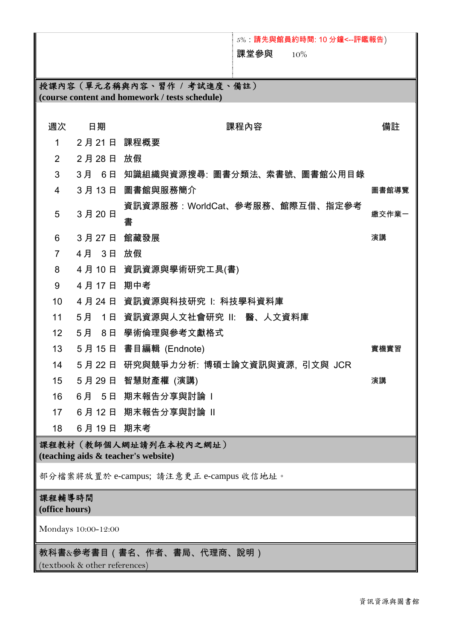## 5%:請先與館員約時間: 10 分鐘<--評鑑報告) 課堂參與 10% 授課內容(單元名稱與內容、習作 **/** 考試進度、備註) **(course content and homework / tests schedule)**  週次 日期 いっぱん まいしん 課程內容 いっぱん かいしょう 備註 1 2 月 21 日 課程概要 2 2 月 28 日 放假 3 3 月 6 日 知識組織與資源搜尋: 圖書分類法、索書號、圖書館公用目錄 4 3 月 13 日 圖書館與服務簡介 インディング こうしょう 日本 国書館導覽 5 3 月 20 日 資訊資源服務:WorldCat、參考服務、館際互借、指定參考 書 繳交作業一 **6 28 月 27 日 館藏發展 インタン おおおお さんしゅう おおおお おおおお うまの うまの 演講** はんしょう はんしょう はんしょう はんしょう 7 4 月 3 日 放假 8 4 月 10 日 資訊資源與學術研究工具(書) 9 4 月 17 日 期中考 10 4 月 24 日 資訊資源與科技研究 I: 科技學科資料庫 11 5 月 1 日 資訊資源與人文社會研究 II: 醫、人文資料庫 12 5 月 8 日 學術倫理與參考文獻格式 13 5 月 15 日 書目編輯 (Endnote) 實機實習 14 5 月 22 日 研究與競爭力分析: 博碩士論文資訊與資源, 引文與 JCR 15 5 月 29 日 智慧財產權 (演講) 演講 16 6月 5日 期末報告分享與討論 I 17 6月 12 日 期末報告分享與討論 Ⅱ 18 6 月 19 日 期末考 課程教材(教師個人網址請列在本校內之網址) **(teaching aids & teacher's website)**  部分檔案將放置於 e-campus; 請注意更正 e-campus 收信地址。 課程輔導時間 **(office hours)** Mondays 10:00-12:00 教科書&參考書目(書名、作者、書局、代理商、說明)

(textbook & other references)